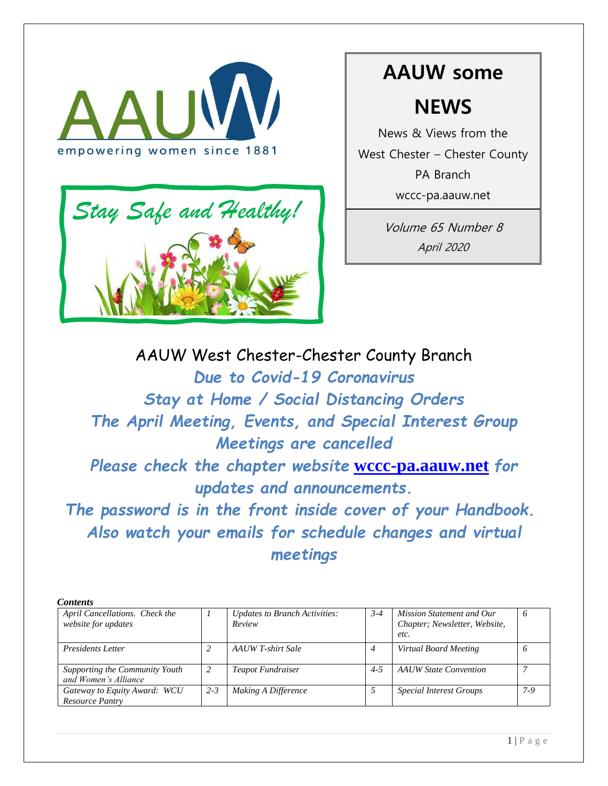



# **AAUW some NEWS**

News & Views from the West Chester – Chester County PA Branch wccc-pa.aauw.net

> Volume 65 Number 8 April 2020

AAUW West Chester-Chester County Branch *Due to Covid-19 Coronavirus Stay at Home / Social Distancing Orders The April Meeting, Events, and Special Interest Group Meetings are cancelled Please check the chapter website* **wccc-pa.aauw.net** *for updates and announcements. The password is in the front inside cover of your Handbook. Also watch your emails for schedule changes and virtual* 

*meetings*

| <b>Contents</b>                                        |         |                                                |         |                                                                    |       |
|--------------------------------------------------------|---------|------------------------------------------------|---------|--------------------------------------------------------------------|-------|
| April Cancellations. Check the<br>website for updates  |         | <b>Updates to Branch Activities:</b><br>Review | $3 - 4$ | Mission Statement and Our<br>Chapter; Newsletter, Website,<br>etc. |       |
| <b>Presidents Letter</b>                               |         | AAUW T-shirt Sale                              | 4       | Virtual Board Meeting                                              |       |
| Supporting the Community Youth<br>and Women's Alliance |         | <b>Teapot Fundraiser</b>                       | $4 - 5$ | <b>AAUW</b> State Convention                                       |       |
| Gateway to Equity Award: WCU<br>Resource Pantry        | $2 - 3$ | Making A Difference                            |         | <b>Special Interest Groups</b>                                     | $7-9$ |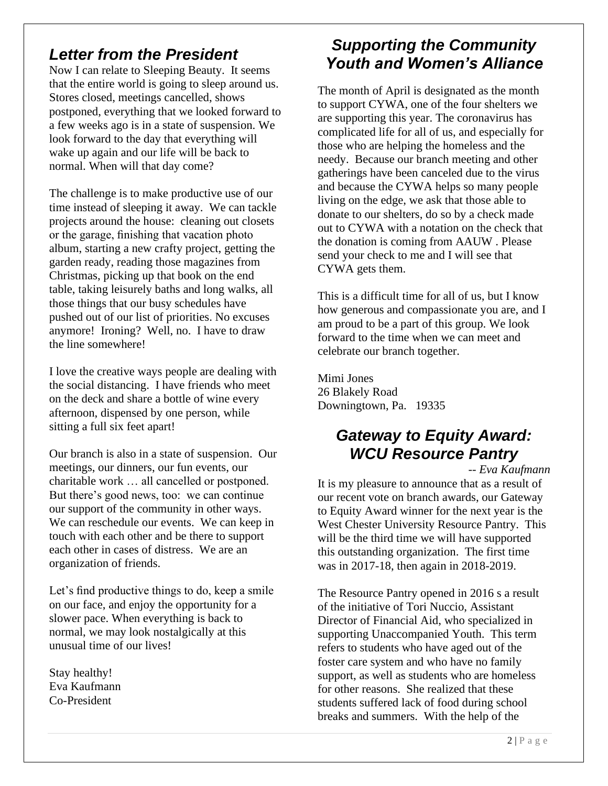# *Letter from the President*

Now I can relate to Sleeping Beauty. It seems that the entire world is going to sleep around us. Stores closed, meetings cancelled, shows postponed, everything that we looked forward to a few weeks ago is in a state of suspension. We look forward to the day that everything will wake up again and our life will be back to normal. When will that day come?

The challenge is to make productive use of our time instead of sleeping it away. We can tackle projects around the house: cleaning out closets or the garage, finishing that vacation photo album, starting a new crafty project, getting the garden ready, reading those magazines from Christmas, picking up that book on the end table, taking leisurely baths and long walks, all those things that our busy schedules have pushed out of our list of priorities. No excuses anymore! Ironing? Well, no. I have to draw the line somewhere!

I love the creative ways people are dealing with the social distancing. I have friends who meet on the deck and share a bottle of wine every afternoon, dispensed by one person, while sitting a full six feet apart!

Our branch is also in a state of suspension. Our meetings, our dinners, our fun events, our charitable work … all cancelled or postponed. But there's good news, too: we can continue our support of the community in other ways. We can reschedule our events. We can keep in touch with each other and be there to support each other in cases of distress. We are an organization of friends.

Let's find productive things to do, keep a smile on our face, and enjoy the opportunity for a slower pace. When everything is back to normal, we may look nostalgically at this unusual time of our lives!

Stay healthy! Eva Kaufmann Co-President

# *Supporting the Community Youth and Women's Alliance*

The month of April is designated as the month to support CYWA, one of the four shelters we are supporting this year. The coronavirus has complicated life for all of us, and especially for those who are helping the homeless and the needy. Because our branch meeting and other gatherings have been canceled due to the virus and because the CYWA helps so many people living on the edge, we ask that those able to donate to our shelters, do so by a check made out to CYWA with a notation on the check that the donation is coming from AAUW . Please send your check to me and I will see that CYWA gets them.

This is a difficult time for all of us, but I know how generous and compassionate you are, and I am proud to be a part of this group. We look forward to the time when we can meet and celebrate our branch together.

Mimi Jones 26 Blakely Road Downingtown, Pa. 19335

# *Gateway to Equity Award: WCU Resource Pantry*

*-- Eva Kaufmann*

It is my pleasure to announce that as a result of our recent vote on branch awards, our Gateway to Equity Award winner for the next year is the West Chester University Resource Pantry. This will be the third time we will have supported this outstanding organization. The first time was in 2017-18, then again in 2018-2019.

The Resource Pantry opened in 2016 s a result of the initiative of Tori Nuccio, Assistant Director of Financial Aid, who specialized in supporting Unaccompanied Youth. This term refers to students who have aged out of the foster care system and who have no family support, as well as students who are homeless for other reasons. She realized that these students suffered lack of food during school breaks and summers. With the help of the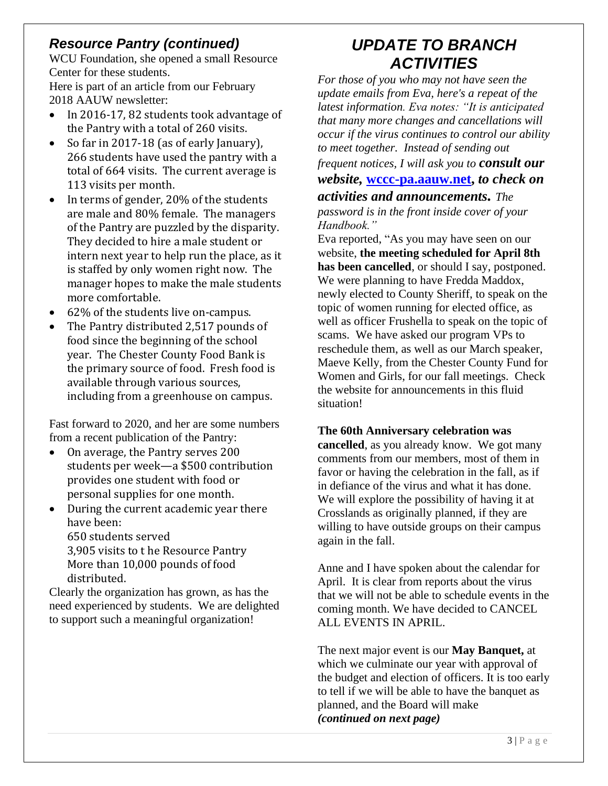# *Resource Pantry (continued)*

WCU Foundation, she opened a small Resource Center for these students.

Here is part of an article from our February 2018 AAUW newsletter:

- In 2016-17, 82 students took advantage of the Pantry with a total of 260 visits.
- So far in 2017-18 (as of early January), 266 students have used the pantry with a total of 664 visits. The current average is 113 visits per month.
- In terms of gender, 20% of the students are male and 80% female. The managers of the Pantry are puzzled by the disparity. They decided to hire a male student or intern next year to help run the place, as it is staffed by only women right now. The manager hopes to make the male students more comfortable.
- 62% of the students live on-campus.
- The Pantry distributed 2,517 pounds of food since the beginning of the school year. The Chester County Food Bank is the primary source of food. Fresh food is available through various sources, including from a greenhouse on campus.

Fast forward to 2020, and her are some numbers from a recent publication of the Pantry:

- On average, the Pantry serves 200 students per week—a \$500 contribution provides one student with food or personal supplies for one month.
- During the current academic year there have been:

650 students served 3,905 visits to t he Resource Pantry More than 10,000 pounds of food distributed.

Clearly the organization has grown, as has the need experienced by students. We are delighted to support such a meaningful organization!

# *UPDATE TO BRANCH ACTIVITIES*

*For those of you who may not have seen the update emails from Eva, here's a repeat of the latest information. Eva notes: "It is anticipated that many more changes and cancellations will occur if the virus continues to control our ability to meet together. Instead of sending out frequent notices, I will ask you to consult our website,* **wccc-pa.aauw.net,** *to check on* 

*activities and announcements. The password is in the front inside cover of your Handbook."*

Eva reported, "As you may have seen on our website, **the meeting scheduled for April 8th has been cancelled**, or should I say, postponed. We were planning to have Fredda Maddox, newly elected to County Sheriff, to speak on the topic of women running for elected office, as well as officer Frushella to speak on the topic of scams. We have asked our program VPs to reschedule them, as well as our March speaker, Maeve Kelly, from the Chester County Fund for Women and Girls, for our fall meetings. Check the website for announcements in this fluid situation!

#### **The 60th Anniversary celebration was**

**cancelled**, as you already know. We got many comments from our members, most of them in favor or having the celebration in the fall, as if in defiance of the virus and what it has done. We will explore the possibility of having it at Crosslands as originally planned, if they are willing to have outside groups on their campus again in the fall.

Anne and I have spoken about the calendar for April. It is clear from reports about the virus that we will not be able to schedule events in the coming month. We have decided to CANCEL ALL EVENTS IN APRIL.

The next major event is our **May Banquet,** at which we culminate our year with approval of the budget and election of officers. It is too early to tell if we will be able to have the banquet as planned, and the Board will make *(continued on next page)*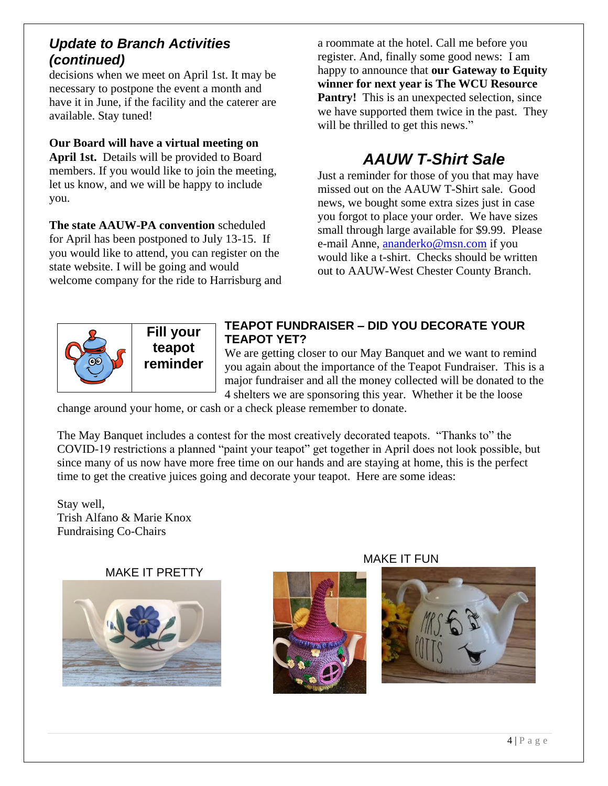## *Update to Branch Activities (continued)*

decisions when we meet on April 1st. It may be necessary to postpone the event a month and have it in June, if the facility and the caterer are available. Stay tuned!

#### **Our Board will have a virtual meeting on**

**April 1st.** Details will be provided to Board members. If you would like to join the meeting, let us know, and we will be happy to include you.

**The state AAUW-PA convention** scheduled for April has been postponed to July 13-15. If you would like to attend, you can register on the state website. I will be going and would welcome company for the ride to Harrisburg and

a roommate at the hotel. Call me before you register. And, finally some good news: I am happy to announce that **our Gateway to Equity winner for next year is The WCU Resource Pantry!** This is an unexpected selection, since we have supported them twice in the past. They will be thrilled to get this news."

# *AAUW T-Shirt Sale*

Just a reminder for those of you that may have missed out on the AAUW T-Shirt sale. Good news, we bought some extra sizes just in case you forgot to place your order. We have sizes small through large available for \$9.99. Please e-mail Anne, ananderko@msn.com if you would like a t-shirt. Checks should be written out to AAUW-West Chester County Branch.



**Fill your teapot reminder**

#### **TEAPOT FUNDRAISER – DID YOU DECORATE YOUR TEAPOT YET?**

We are getting closer to our May Banquet and we want to remind you again about the importance of the Teapot Fundraiser. This is a major fundraiser and all the money collected will be donated to the 4 shelters we are sponsoring this year. Whether it be the loose

change around your home, or cash or a check please remember to donate.

The May Banquet includes a contest for the most creatively decorated teapots. "Thanks to" the COVID-19 restrictions a planned "paint your teapot" get together in April does not look possible, but since many of us now have more free time on our hands and are staying at home, this is the perfect time to get the creative juices going and decorate your teapot. Here are some ideas:

Stay well, Trish Alfano & Marie Knox Fundraising Co-Chairs

#### MAKE IT PRETTY





MAKE IT FUN

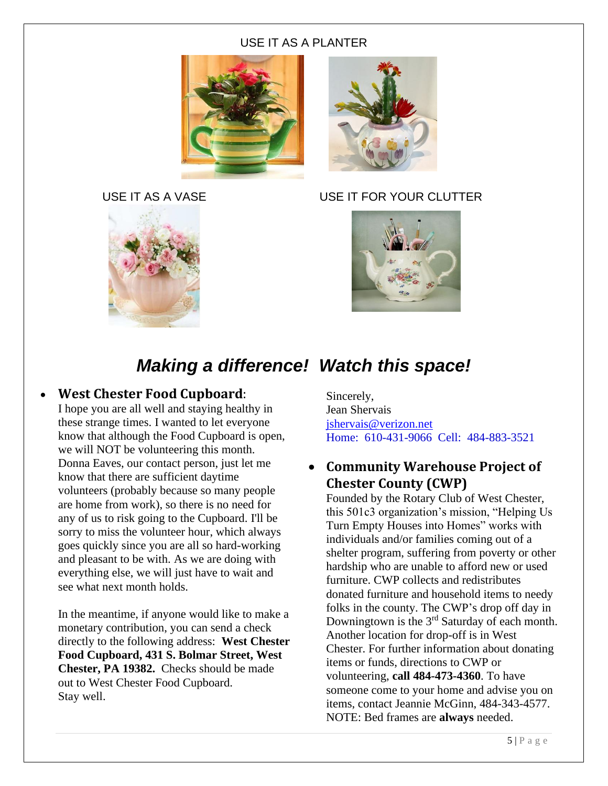#### USE IT AS A PLANTER







#### USE IT AS A VASE USE IT FOR YOUR CLUTTER



# *Making a difference! Watch this space!*

#### • **West Chester Food Cupboard**:

I hope you are all well and staying healthy in these strange times. I wanted to let everyone know that although the Food Cupboard is open, we will NOT be volunteering this month. Donna Eaves, our contact person, just let me know that there are sufficient daytime volunteers (probably because so many people are home from work), so there is no need for any of us to risk going to the Cupboard. I'll be sorry to miss the volunteer hour, which always goes quickly since you are all so hard-working and pleasant to be with. As we are doing with everything else, we will just have to wait and see what next month holds.

In the meantime, if anyone would like to make a monetary contribution, you can send a check directly to the following address: **West Chester Food Cupboard, 431 S. Bolmar Street, West Chester, PA 19382.** Checks should be made out to West Chester Food Cupboard. Stay well.

Sincerely, Jean Shervais jshervais@verizon.net Home: 610-431-9066 Cell: 484-883-3521

## • **Community Warehouse Project of Chester County (CWP)**

Founded by the Rotary Club of West Chester, this 501c3 organization's mission, "Helping Us Turn Empty Houses into Homes" works with individuals and/or families coming out of a shelter program, suffering from poverty or other hardship who are unable to afford new or used furniture. CWP collects and redistributes donated furniture and household items to needy folks in the county. The CWP's drop off day in Downingtown is the 3rd Saturday of each month. Another location for drop-off is in West Chester. For further information about donating items or funds, directions to CWP or volunteering, **call 484-473-4360**. To have someone come to your home and advise you on items, contact Jeannie McGinn, 484-343-4577. NOTE: Bed frames are **always** needed.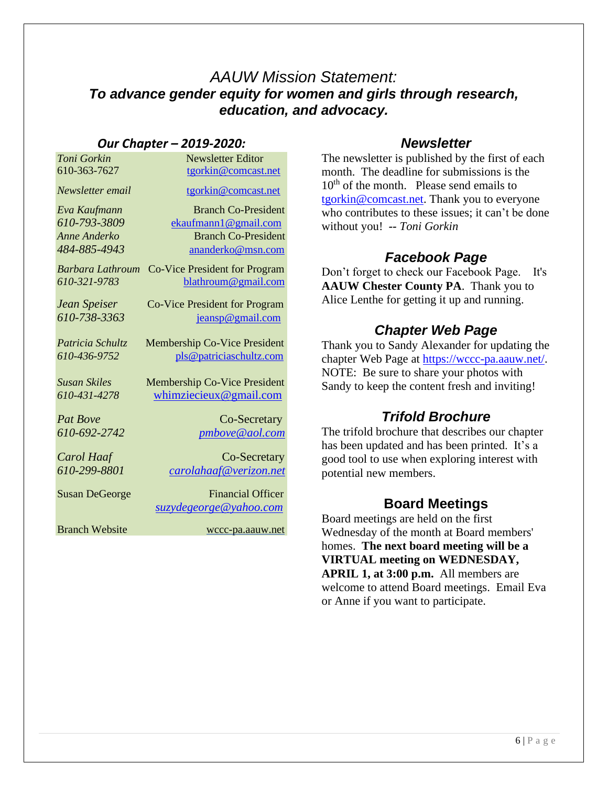# *AAUW Mission Statement: To advance gender equity for women and girls through research, education, and advocacy.*

#### *Our Chapter – 2019-2020:*

| Toni Gorkin           | <b>Newsletter Editor</b>             |  |
|-----------------------|--------------------------------------|--|
| 610-363-7627          | tgorkin@comcast.net                  |  |
| Newsletter email      | tgorkin@comcast.net                  |  |
| Eva Kaufmann          | <b>Branch Co-President</b>           |  |
| 610-793-3809          | ekaufmann1@gmail.com                 |  |
| Anne Anderko          | <b>Branch Co-President</b>           |  |
| 484-885-4943          | ananderko@msn.com                    |  |
| Barbara Lathroum      | <b>Co-Vice President for Program</b> |  |
| 610-321-9783          | blathroum@gmail.com                  |  |
| Jean Speiser          | Co-Vice President for Program        |  |
| 610-738-3363          | jeansp@gmail.com                     |  |
|                       |                                      |  |
| Patricia Schultz      | <b>Membership Co-Vice President</b>  |  |
| 610-436-9752          | pls@patriciaschultz.com              |  |
| Susan Skiles          | Membership Co-Vice President         |  |
| 610-431-4278          |                                      |  |
|                       | whimziecieux@gmail.com               |  |
| <b>Pat Bove</b>       | Co-Secretary                         |  |
| 610-692-2742          | pmbove@aol.com                       |  |
|                       |                                      |  |
| Carol Haaf            | Co-Secretary                         |  |
| 610-299-8801          | carolahaaf@verizon.net               |  |
| <b>Susan DeGeorge</b> | <b>Financial Officer</b>             |  |
|                       | <u>suzydegeorge@yahoo.com</u>        |  |
| <b>Branch Website</b> | wccc-pa.aauw.net                     |  |
|                       |                                      |  |

## *Newsletter*

The newsletter is published by the first of each month. The deadline for submissions is the  $10<sup>th</sup>$  of the month. Please send emails to tgorkin@comcast.net. Thank you to everyone who contributes to these issues; it can't be done without you! *-- Toni Gorkin*

# *Facebook Page*

Don't forget to check our Facebook Page. It's **AAUW Chester County PA**. Thank you to Alice Lenthe for getting it up and running.

## *Chapter Web Page*

Thank you to Sandy Alexander for updating the chapter Web Page at https://wccc-pa.aauw.net/. NOTE: Be sure to share your photos with Sandy to keep the content fresh and inviting!

## *Trifold Brochure*

The trifold brochure that describes our chapter has been updated and has been printed. It's a good tool to use when exploring interest with potential new members.

## **Board Meetings**

Board meetings are held on the first Wednesday of the month at Board members' homes. **The next board meeting will be a VIRTUAL meeting on WEDNESDAY, APRIL 1, at 3:00 p.m.** All members are welcome to attend Board meetings. Email Eva or Anne if you want to participate.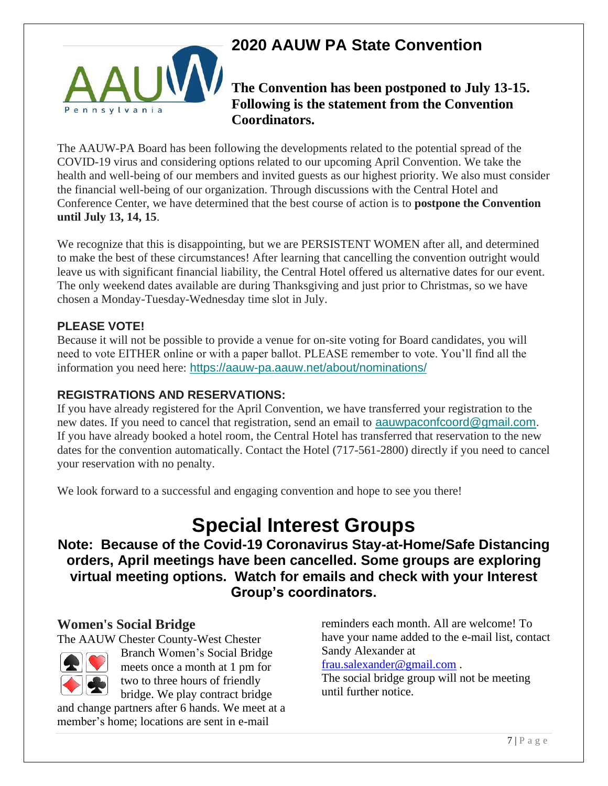

# **2020 AAUW PA State Convention**

## **The Convention has been postponed to July 13-15. Following is the statement from the Convention Coordinators.**

The AAUW-PA Board has been following the developments related to the potential spread of the COVID-19 virus and considering options related to our upcoming April Convention. We take the health and well-being of our members and invited guests as our highest priority. We also must consider the financial well-being of our organization. Through discussions with the Central Hotel and Conference Center, we have determined that the best course of action is to **postpone the Convention until July 13, 14, 15**.

We recognize that this is disappointing, but we are PERSISTENT WOMEN after all, and determined to make the best of these circumstances! After learning that cancelling the convention outright would leave us with significant financial liability, the Central Hotel offered us alternative dates for our event. The only weekend dates available are during Thanksgiving and just prior to Christmas, so we have chosen a Monday-Tuesday-Wednesday time slot in July.

#### **PLEASE VOTE!**

Because it will not be possible to provide a venue for on-site voting for Board candidates, you will need to vote EITHER online or with a paper ballot. PLEASE remember to vote. You'll find all the information you need here: https://aauw-pa.aauw.net/about/nominations/

#### **REGISTRATIONS AND RESERVATIONS:**

If you have already registered for the April Convention, we have transferred your registration to the new dates. If you need to cancel that registration, send an email to aauwpaconfcoord@gmail.com. If you have already booked a hotel room, the Central Hotel has transferred that reservation to the new dates for the convention automatically. Contact the Hotel (717-561-2800) directly if you need to cancel your reservation with no penalty.

We look forward to a successful and engaging convention and hope to see you there!

# **Special Interest Groups**

**Note: Because of the Covid-19 Coronavirus Stay-at-Home/Safe Distancing orders, April meetings have been cancelled. Some groups are exploring virtual meeting options. Watch for emails and check with your Interest Group's coordinators.**

#### **Women's Social Bridge**

The AAUW Chester County-West Chester



Branch Women's Social Bridge meets once a month at 1 pm for two to three hours of friendly bridge. We play contract bridge

and change partners after 6 hands. We meet at a member's home; locations are sent in e-mail

reminders each month. All are welcome! To have your name added to the e-mail list, contact Sandy Alexander at

#### frau.salexander@gmail.com .

The social bridge group will not be meeting until further notice.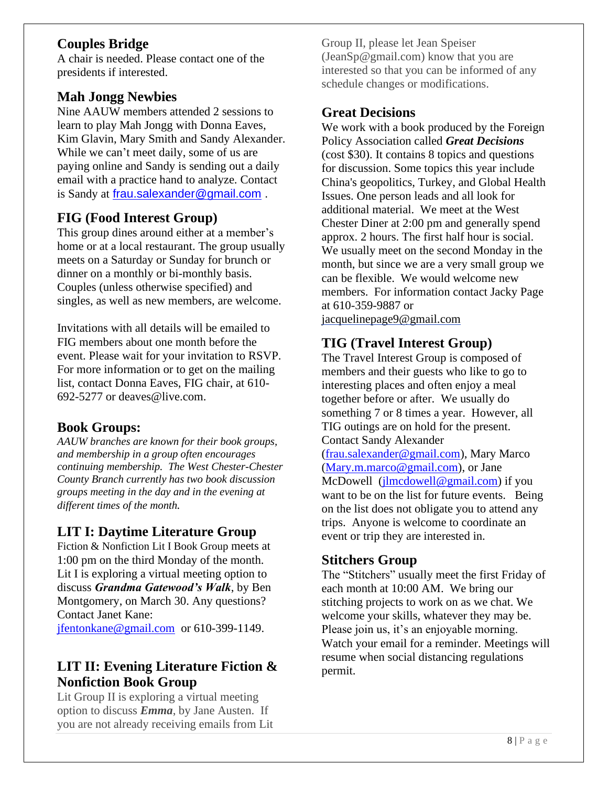#### **Couples Bridge**

A chair is needed. Please contact one of the presidents if interested.

#### **Mah Jongg Newbies**

Nine AAUW members attended 2 sessions to learn to play Mah Jongg with Donna Eaves, Kim Glavin, Mary Smith and Sandy Alexander. While we can't meet daily, some of us are paying online and Sandy is sending out a daily email with a practice hand to analyze. Contact is Sandy at frau.salexander@gmail.com .

## **FIG (Food Interest Group)**

This group dines around either at a member's home or at a local restaurant. The group usually meets on a Saturday or Sunday for brunch or dinner on a monthly or bi-monthly basis. Couples (unless otherwise specified) and singles, as well as new members, are welcome.

Invitations with all details will be emailed to FIG members about one month before the event. Please wait for your invitation to RSVP. For more information or to get on the mailing list, contact Donna Eaves, FIG chair, at 610- 692-5277 or deaves@live.com.

#### **Book Groups:**

*AAUW branches are known for their book groups, and membership in a group often encourages continuing membership. The West Chester-Chester County Branch currently has two book discussion groups meeting in the day and in the evening at different times of the month.* 

# **LIT I: Daytime Literature Group**

Fiction & Nonfiction Lit I Book Group meets at 1:00 pm on the third Monday of the month. Lit I is exploring a virtual meeting option to discuss *Grandma Gatewood's Walk*, by Ben Montgomery, on March 30. Any questions? Contact Janet Kane: jfentonkane@gmail.com or 610-399-1149.

# **LIT II: Evening Literature Fiction & Nonfiction Book Group**

Lit Group II is exploring a virtual meeting option to discuss *Emma*, by Jane Austen. If you are not already receiving emails from Lit Group II, please let Jean Speiser (JeanSp@gmail.com) know that you are interested so that you can be informed of any schedule changes or modifications.

#### **Great Decisions**

We work with a book produced by the Foreign Policy Association called *Great Decisions* (cost \$30). It contains 8 topics and questions for discussion. Some topics this year include China's geopolitics, Turkey, and Global Health Issues. One person leads and all look for additional material. We meet at the West Chester Diner at 2:00 pm and generally spend approx. 2 hours. The first half hour is social. We usually meet on the second Monday in the month, but since we are a very small group we can be flexible. We would welcome new members. For information contact Jacky Page at 610-359-9887 or jacquelinepage9@gmail.com

# **TIG (Travel Interest Group)**

The Travel Interest Group is composed of members and their guests who like to go to interesting places and often enjoy a meal together before or after. We usually do something 7 or 8 times a year. However, all TIG outings are on hold for the present. Contact Sandy Alexander (frau.salexander@gmail.com), Mary Marco (Mary.m.marco@gmail.com), or Jane McDowell (jlmcdowell@gmail.com) if you want to be on the list for future events. Being on the list does not obligate you to attend any trips. Anyone is welcome to coordinate an event or trip they are interested in.

#### **Stitchers Group**

The "Stitchers" usually meet the first Friday of each month at 10:00 AM. We bring our stitching projects to work on as we chat. We welcome your skills, whatever they may be. Please join us, it's an enjoyable morning. Watch your email for a reminder. Meetings will resume when social distancing regulations permit.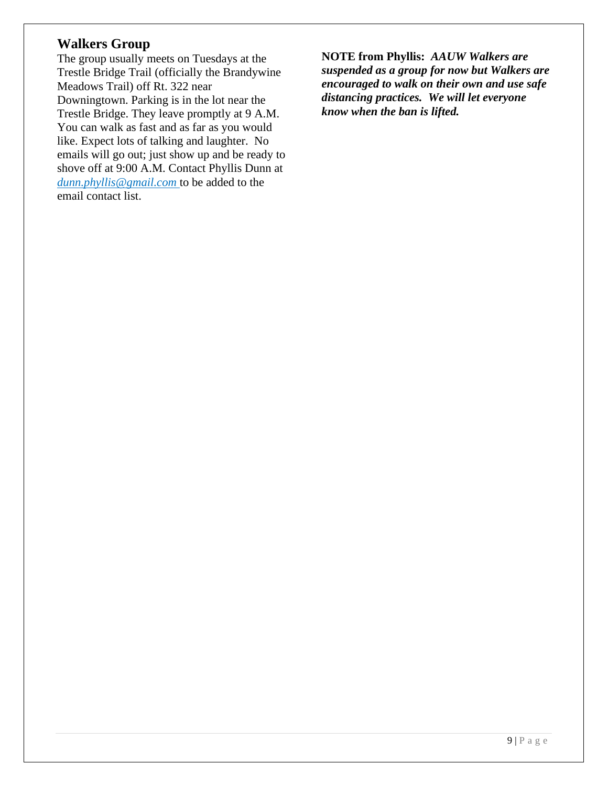#### **Walkers Group**

The group usually meets on Tuesdays at the Trestle Bridge Trail (officially the Brandywine Meadows Trail) off Rt. 322 near Downingtown. Parking is in the lot near the Trestle Bridge. They leave promptly at 9 A.M. You can walk as fast and as far as you would like. Expect lots of talking and laughter. No emails will go out; just show up and be ready to shove off at 9:00 A.M. Contact Phyllis Dunn at *dunn.phyllis@gmail.com* to be added to the email contact list.

**NOTE from Phyllis:** *AAUW Walkers are suspended as a group for now but Walkers are encouraged to walk on their own and use safe distancing practices. We will let everyone know when the ban is lifted.*